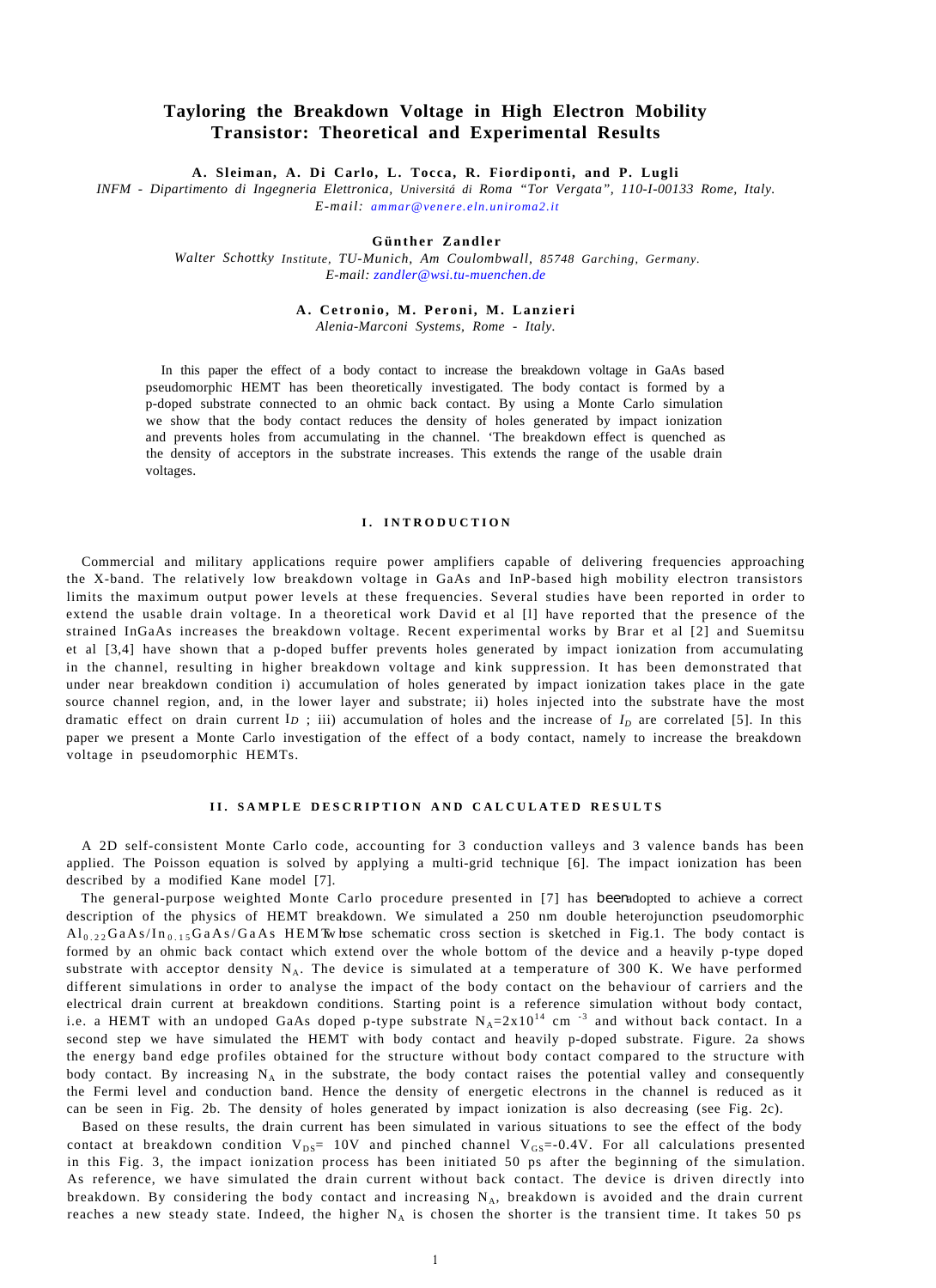# **Tayloring the Breakdown Voltage in High Electron Mobility Transistor: Theoretical and Experimental Results**

**A. Sleiman, A. Di Carlo, L. Tocca, R. Fiordiponti, and P. Lugli**

*INFM - Dipartimento di Ingegneria Elettronica, Universitá di Roma "Tor Vergata", 110-I-00133 Rome, Italy. E-mail: [ammar@venere.eln.uniroma2.it](mailto:ammar@venere.eln.uniroma2.it)*

## **Günther Zandler**

*Walter Schottky Institute, TU-Munich, Am Coulombwall, 85748 Garching, Germany. E-mail: [zandler@wsi.tu-muenchen.de](mailto:zandler@wsi.tu-muenchen.de)*

#### **A. Cetronio, M. Peroni, M. Lanzieri**

*Alenia-Marconi Systems, Rome - Italy.*

In this paper the effect of a body contact to increase the breakdown voltage in GaAs based pseudomorphic HEMT has been theoretically investigated. The body contact is formed by a p-doped substrate connected to an ohmic back contact. By using a Monte Carlo simulation we show that the body contact reduces the density of holes generated by impact ionization and prevents holes from accumulating in the channel. 'The breakdown effect is quenched as the density of acceptors in the substrate increases. This extends the range of the usable drain voltages.

# **I. INTRODUCTION**

Commercial and military applications require power amplifiers capable of delivering frequencies approaching the X-band. The relatively low breakdown voltage in GaAs and InP-based high mobility electron transistors limits the maximum output power levels at these frequencies. Several studies have been reported in order to extend the usable drain voltage. In a theoretical work David et al [l] have reported that the presence of the strained InGaAs increases the breakdown voltage. Recent experimental works by Brar et al [2] and Suemitsu et al [3,4] have shown that a p-doped buffer prevents holes generated by impact ionization from accumulating in the channel, resulting in higher breakdown voltage and kink suppression. It has been demonstrated that under near breakdown condition i) accumulation of holes generated by impact ionization takes place in the gate source channel region, and, in the lower layer and substrate; ii) holes injected into the substrate have the most dramatic effect on drain current  $I_D$ ; iii) accumulation of holes and the increase of  $I_D$  are correlated [5]. In this paper we present a Monte Carlo investigation of the effect of a body contact, namely to increase the breakdown voltage in pseudomorphic HEMTs.

### **II. SAMPLE DESCRIPTION AND CALCULATED RESULTS**

A 2D self-consistent Monte Carlo code, accounting for 3 conduction valleys and 3 valence bands has been applied. The Poisson equation is solved by applying a multi-grid technique [6]. The impact ionization has been described by a modified Kane model [7].

The general-purpose weighted Monte Carlo procedure presented in [7] has beemdopted to achieve a correct description of the physics of HEMT breakdown. We simulated a 250 nm double heterojunction pseudomorphic  $Al_{0.22}GaAs/In_{0.15}GaAs/GaAs$  HEMTw hose schematic cross section is sketched in Fig.1. The body contact is formed by an ohmic back contact which extend over the whole bottom of the device and a heavily p-type doped substrate with acceptor density  $N_A$ . The device is simulated at a temperature of 300 K. We have performed different simulations in order to analyse the impact of the body contact on the behaviour of carriers and the electrical drain current at breakdown conditions. Starting point is a reference simulation without body contact, i.e. a HEMT with an undoped GaAs doped p-type substrate  $N_A=2x10^{14}$  cm  $^{-3}$  and without back contact. In a second step we have simulated the HEMT with body contact and heavily p-doped substrate. Figure. 2a shows the energy band edge profiles obtained for the structure without body contact compared to the structure with body contact. By increasing N<sub>A</sub> in the substrate, the body contact raises the potential valley and consequently the Fermi level and conduction band. Hence the density of energetic electrons in the channel is reduced as it can be seen in Fig. 2b. The density of holes generated by impact ionization is also decreasing (see Fig. 2c).

Based on these results, the drain current has been simulated in various situations to see the effect of the body contact at breakdown condition  $V_{DS}$ = 10V and pinched channel  $V_{GS}$ =-0.4V. For all calculations presented in this Fig. 3, the impact ionization process has been initiated 50 ps after the beginning of the simulation. As reference, we have simulated the drain current without back contact. The device is driven directly into breakdown. By considering the body contact and increasing  $N_A$ , breakdown is avoided and the drain current reaches a new steady state. Indeed, the higher  $N_A$  is chosen the shorter is the transient time. It takes 50 ps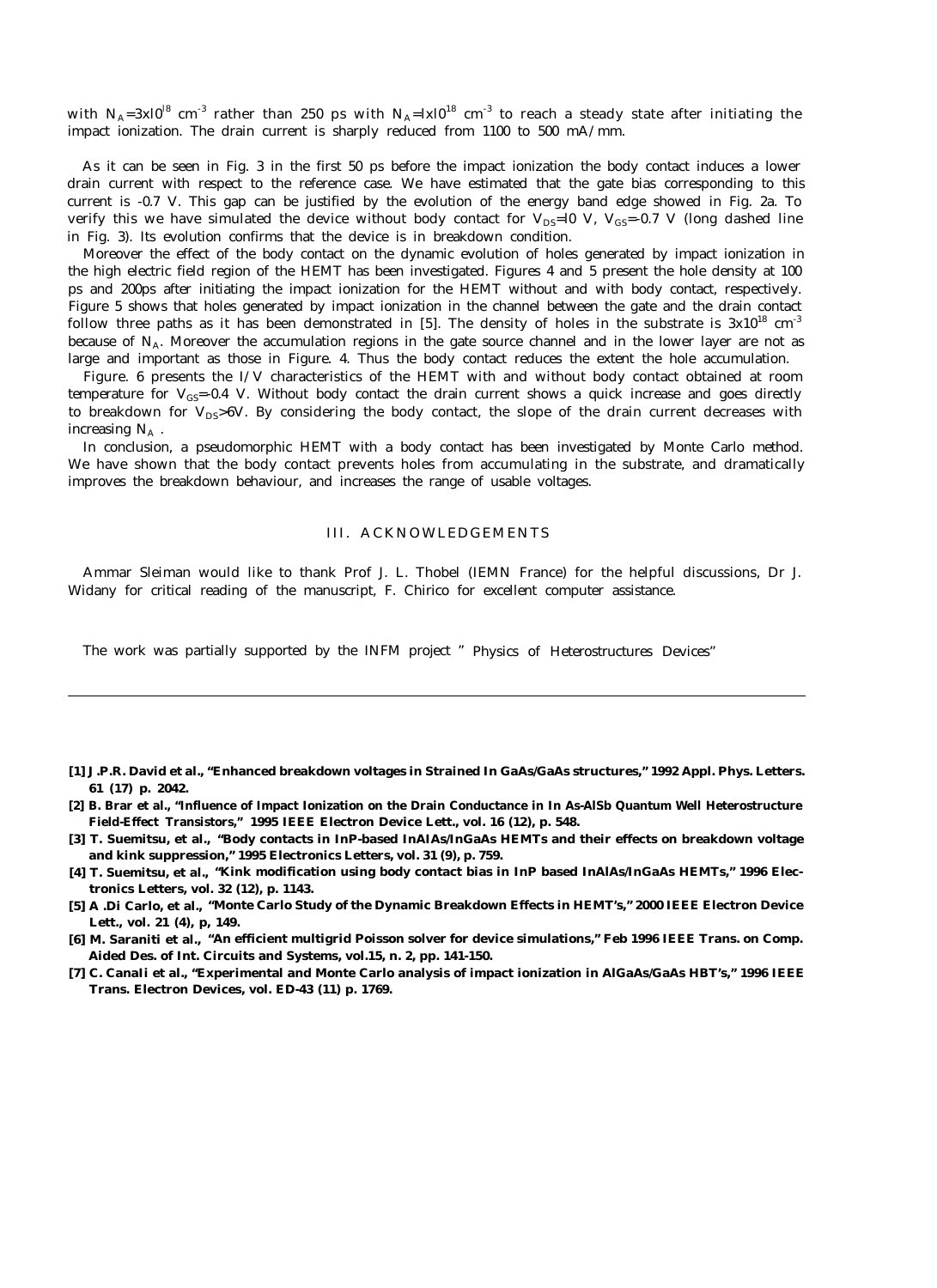with  $N_A=3x10^{18}$  cm<sup>-3</sup> rather than 250 ps with  $N_A=lx10^{18}$  cm<sup>-3</sup> to reach a steady state after initiating the impact ionization. The drain current is sharply reduced from 1100 to 500 mA/mm.

As it can be seen in Fig. 3 in the first 50 ps before the impact ionization the body contact induces a lower drain current with respect to the reference case. We have estimated that the gate bias corresponding to this current is -0.7 V. This gap can be justified by the evolution of the energy band edge showed in Fig. 2a. To verify this we have simulated the device without body contact for  $V_{DS}=10$  V,  $V_{GS}=0.7$  V (long dashed line in Fig. 3). Its evolution confirms that the device is in breakdown condition.

Moreover the effect of the body contact on the dynamic evolution of holes generated by impact ionization in the high electric field region of the HEMT has been investigated. Figures 4 and 5 present the hole density at 100 ps and 200ps after initiating the impact ionization for the HEMT without and with body contact, respectively. Figure 5 shows that holes generated by impact ionization in the channel between the gate and the drain contact follow three paths as it has been demonstrated in [5]. The density of holes in the substrate is  $3x10^{18}$  cm<sup>-3</sup> because of N<sub>A</sub>. Moreover the accumulation regions in the gate source channel and in the lower layer are not as large and important as those in Figure. 4. Thus the body contact reduces the extent the hole accumulation.

Figure. 6 presents the I/V characteristics of the HEMT with and without body contact obtained at room temperature for  $V_{\text{GS}}$ =-0.4 V. Without body contact the drain current shows a quick increase and goes directly to breakdown for  $V_{DS}$ >6V. By considering the body contact, the slope of the drain current decreases with increasing  $N_A$ .

In conclusion, a pseudomorphic HEMT with a body contact has been investigated by Monte Carlo method. We have shown that the body contact prevents holes from accumulating in the substrate, and dramatically improves the breakdown behaviour, and increases the range of usable voltages.

# III. ACKNOWLEDGEMENTS

Ammar Sleiman would like to thank Prof J. L. Thobel (IEMN France) for the helpful discussions, Dr J. Widany for critical reading of the manuscript, F. Chirico for excellent computer assistance.

The work was partially supported by the INFM project " Physics of Heterostructures Devices"

- **[1] J.P.R. David et al., "Enhanced breakdown voltages in Strained In GaAs/GaAs structures," 1992 Appl. Phys. Letters. 61 (17) p. 2042.**
- **[2] B. Brar et al., "Influence of Impact Ionization on the Drain Conductance in In As-AlSb Quantum Well Heterostructure Field-Effect Transistors," 1995 IEEE Electron Device Lett., vol. 16 (12), p. 548.**
- **[3] T. Suemitsu, et al., "Body contacts in InP-based InAIAs/InGaAs HEMTs and their effects on breakdown voltage and kink suppression," 1995 Electronics Letters, vol. 31 (9), p. 759.**
- **[4] T. Suemitsu, et al., "Kink modification using body contact bias in InP based InAlAs/InGaAs HEMTs," 1996 Electronics Letters, vol. 32 (12), p. 1143.**
- **[5] A .Di Carlo, et al., "Monte Carlo Study of the Dynamic Breakdown Effects in HEMT's," 2000 IEEE Electron Device Lett., vol. 21 (4), p, 149.**
- **[6] M. Saraniti et al., "An efficient multigrid Poisson solver for device simulations," Feb 1996 IEEE Trans. on Comp. Aided Des. of Int. Circuits and Systems, vol.15, n. 2, pp. 141-150.**
- **[7] C. CanaIi et al., "Experimental and Monte Carlo analysis of impact ionization in AlGaAs/GaAs HBT's," 1996 IEEE Trans. Electron Devices, vol. ED-43 (11) p. 1769.**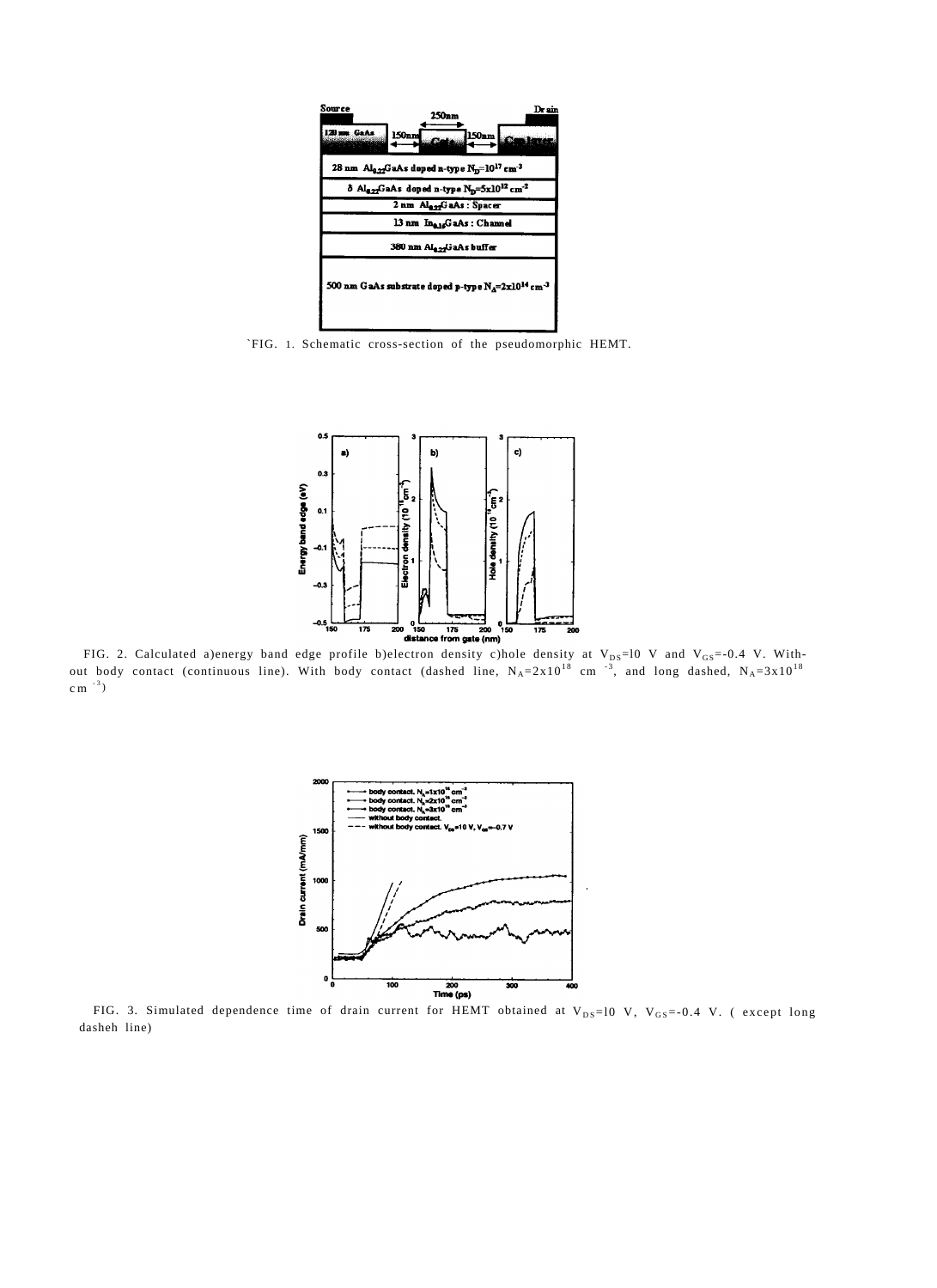

`FIG. 1. Schematic cross-section of the pseudomorphic HEMT.



FIG. 2. Calculated a)energy band edge profile b)electron density c)hole density at  $V_{DS}=10$  V and  $V_{GS}=0.4$  V. Without body contact (continuous line). With body contact (dashed line,  $N_A=2x10^{18}$  cm<sup>-3</sup>, and long dashed,  $N_A=3x10^{18}$  $cm^{-3}$ )



FIG. 3. Simulated dependence time of drain current for HEMT obtained at  $V_{DS}=10\,$  V,  $V_{GS}=-0.4\,$  V. (except long dasheh line)